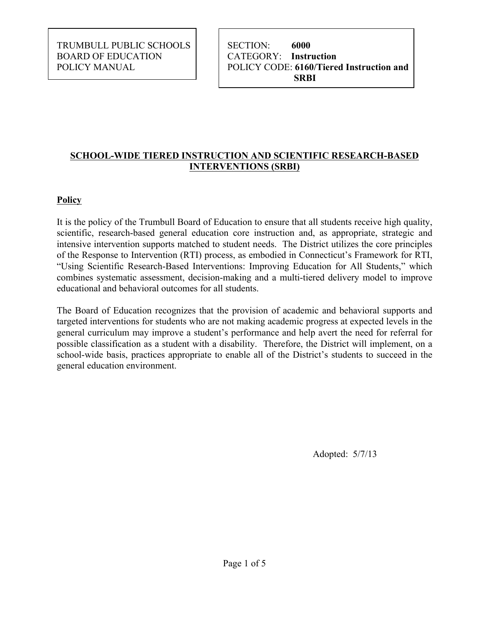TRUMBULL PUBLIC SCHOOLS | | SECTION: 6000 BOARD OF EDUCATION CATEGORY: **Instruction** 

POLICY MANUAL POLICY CODE: **6160/Tiered Instruction and SRBI** 

## **SCHOOL-WIDE TIERED INSTRUCTION AND SCIENTIFIC RESEARCH-BASED INTERVENTIONS (SRBI)**

# **Policy**

 It is the policy of the Trumbull Board of Education to ensure that all students receive high quality, intensive intervention supports matched to student needs. The District utilizes the core principles of the Response to Intervention (RTI) process, as embodied in Connecticut's Framework for RTI, "Using Scientific Research-Based Interventions: Improving Education for All Students," which combines systematic assessment, decision-making and a multi-tiered delivery model to improve scientific, research-based general education core instruction and, as appropriate, strategic and educational and behavioral outcomes for all students.

 The Board of Education recognizes that the provision of academic and behavioral supports and targeted interventions for students who are not making academic progress at expected levels in the general curriculum may improve a student's performance and help avert the need for referral for possible classification as a student with a disability. Therefore, the District will implement, on a school-wide basis, practices appropriate to enable all of the District's students to succeed in the general education environment.

Adopted: 5/7/13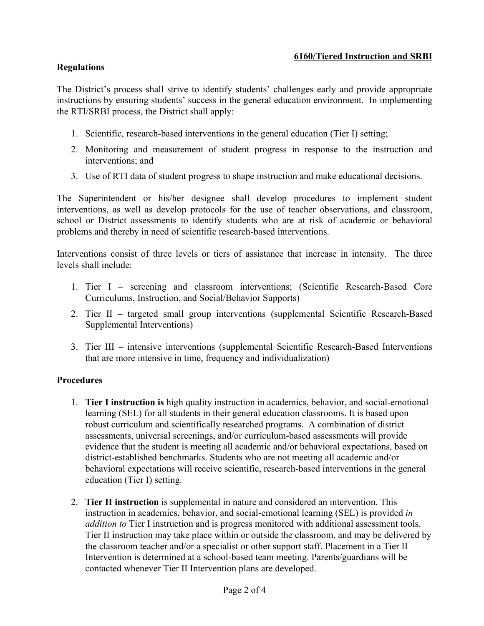#### **6160/Tiered Instruction and SRBI**

#### **Regulations**

 The District's process shall strive to identify students' challenges early and provide appropriate instructions by ensuring students' success in the general education environment. In implementing the RTI/SRBI process, the District shall apply:

- 1. Scientific, research-based interventions in the general education (Tier I) setting;
- the RTI/SRBI process, the District shall apply:<br>
1. Scientific, research-based interventions in the general education (Tier I) setting;<br>
2. Monitoring and measurement of student progress in response to the instruction and interventions; and
	- 3. Use of RTI data of student progress to shape instruction and make educational decisions.

 The Superintendent or his/her designee shall develop procedures to implement student interventions, as well as develop protocols for the use of teacher observations, and classroom, school or District assessments to identify students who are at risk of academic or behavioral problems and thereby in need of scientific research-based interventions.

 Interventions consist of three levels or tiers of assistance that increase in intensity. The three levels shall include:

- levels shall include: 1. Tier I screening and classroom interventions; (Scientific Research-Based Core Curriculums, Instruction, and Social/Behavior Supports)
	- 2. Tier II targeted small group interventions (supplemental Scientific Research-Based Supplemental Interventions)
	- 3. Tier III intensive interventions (supplemental Scientific Research-Based Interventions that are more intensive in time, frequency and individualization)

#### **Procedures**

- learning (SEL) for all students in their general education classrooms. It is based upon assessments, universal screenings, and/or curriculum-based assessments will provide education (Tier I) setting. 1. **Tier I instruction is** high quality instruction in academics, behavior, and social-emotional robust curriculum and scientifically researched programs. A combination of district evidence that the student is meeting all academic and/or behavioral expectations, based on district-established benchmarks. Students who are not meeting all academic and/or behavioral expectations will receive scientific, research-based interventions in the general
- Intervention is determined at a school-based team meeting. Parents/guardians will be contacted whenever Tier II Intervention plans are developed. 2. **Tier II instruction** is supplemental in nature and considered an intervention. This instruction in academics, behavior, and social-emotional learning (SEL) is provided *in addition to* Tier I instruction and is progress monitored with additional assessment tools. Tier II instruction may take place within or outside the classroom, and may be delivered by the classroom teacher and/or a specialist or other support staff. Placement in a Tier II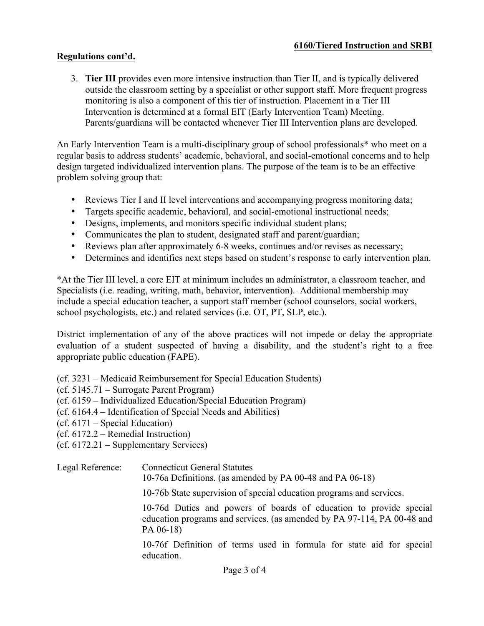## **Regulations cont'd.**

 3. **Tier III** provides even more intensive instruction than Tier II, and is typically delivered outside the classroom setting by a specialist or other support staff. More frequent progress monitoring is also a component of this tier of instruction. Placement in a Tier III Intervention is determined at a formal EIT (Early Intervention Team) Meeting. Parents/guardians will be contacted whenever Tier III Intervention plans are developed.

An Early Intervention Team is a multi-disciplinary group of school professionals\* who meet on a regular basis to address students' academic, behavioral, and social-emotional concerns and to help design targeted individualized intervention plans. The purpose of the team is to be an effective problem solving group that:

- Reviews Tier I and II level interventions and accompanying progress monitoring data;
- Targets specific academic, behavioral, and social-emotional instructional needs;
- Designs, implements, and monitors specific individual student plans;
- Communicates the plan to student, designated staff and parent/guardian;
- Reviews plan after approximately 6-8 weeks, continues and/or revises as necessary;
- Determines and identifies next steps based on student's response to early intervention plan.

 \*At the Tier III level, a core EIT at minimum includes an administrator, a classroom teacher, and school psychologists, etc.) and related services (i.e. OT, PT, SLP, etc.). Specialists (i.e. reading, writing, math, behavior, intervention). Additional membership may include a special education teacher, a support staff member (school counselors, social workers,

 District implementation of any of the above practices will not impede or delay the appropriate evaluation of a student suspected of having a disability, and the student's right to a free appropriate public education (FAPE).

(cf. 3231 – Medicaid Reimbursement for Special Education Students)

- (cf. 5145.71 Surrogate Parent Program)
- (cf. 6159 Individualized Education/Special Education Program)
- (cf. 6164.4 Identification of Special Needs and Abilities)
- (cf. 6171 Special Education)
- (cf. 6172.2 Remedial Instruction)
- (cf. 6172.21 Supplementary Services)

# Legal Reference: Connecticut General Statutes

10-76a Definitions. (as amended by PA 00-48 and PA 06-18)

10-76b State supervision of special education programs and services.

 education programs and services. (as amended by PA 97-114, PA 00-48 and 10-76d Duties and powers of boards of education to provide special PA 06-18)

10-76f Definition of terms used in formula for state aid for special education.